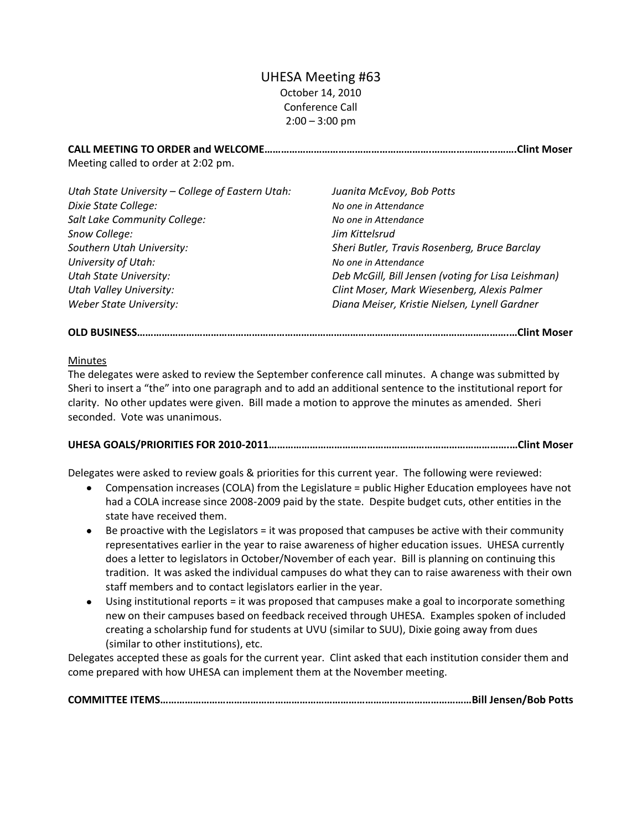# UHESA Meeting #63 October 14, 2010 Conference Call  $2:00 - 3:00$  pm

**CALL MEETING TO ORDER and WELCOME…………………………………………………….………………………….Clint Moser** Meeting called to order at 2:02 pm.

| Utah State University - College of Eastern Utah: | Juanita McEvoy, Bob Potts                          |
|--------------------------------------------------|----------------------------------------------------|
| Dixie State College:                             | No one in Attendance                               |
| Salt Lake Community College:                     | No one in Attendance                               |
| Snow College:                                    | Jim Kittelsrud                                     |
| Southern Utah University:                        | Sheri Butler, Travis Rosenberg, Bruce Barclay      |
| University of Utah:                              | No one in Attendance                               |
| <b>Utah State University:</b>                    | Deb McGill, Bill Jensen (voting for Lisa Leishman) |
| <b>Utah Valley University:</b>                   | Clint Moser, Mark Wiesenberg, Alexis Palmer        |
| <b>Weber State University:</b>                   | Diana Meiser, Kristie Nielsen, Lynell Gardner      |

## **OLD BUSINESS……………………………………………………………………………………………………………………….…Clint Moser**

#### Minutes

The delegates were asked to review the September conference call minutes. A change was submitted by Sheri to insert a "the" into one paragraph and to add an additional sentence to the institutional report for clarity. No other updates were given. Bill made a motion to approve the minutes as amended. Sheri seconded. Vote was unanimous.

### **UHESA GOALS/PRIORITIES FOR 2010-2011…………………………………………………………………………….…Clint Moser**

Delegates were asked to review goals & priorities for this current year. The following were reviewed:

- Compensation increases (COLA) from the Legislature = public Higher Education employees have not had a COLA increase since 2008-2009 paid by the state. Despite budget cuts, other entities in the state have received them.
- Be proactive with the Legislators = it was proposed that campuses be active with their community representatives earlier in the year to raise awareness of higher education issues. UHESA currently does a letter to legislators in October/November of each year. Bill is planning on continuing this tradition. It was asked the individual campuses do what they can to raise awareness with their own staff members and to contact legislators earlier in the year.
- Using institutional reports = it was proposed that campuses make a goal to incorporate something new on their campuses based on feedback received through UHESA. Examples spoken of included creating a scholarship fund for students at UVU (similar to SUU), Dixie going away from dues (similar to other institutions), etc.

Delegates accepted these as goals for the current year. Clint asked that each institution consider them and come prepared with how UHESA can implement them at the November meeting.

**COMMITTEE ITEMS……………………………………………………………………………………………………Bill Jensen/Bob Potts**